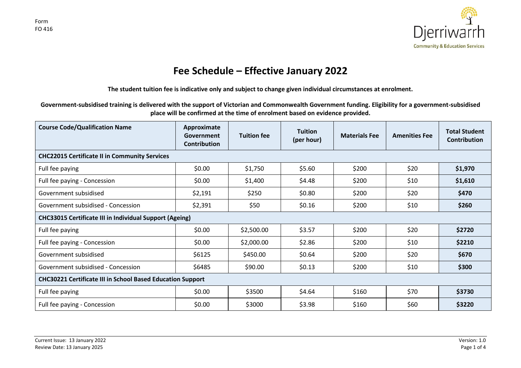

## **Fee Schedule – Effective January 2022**

**The student tuition fee is indicative only and subject to change given individual circumstances at enrolment.**

**Government-subsidised training is delivered with the support of Victorian and Commonwealth Government funding. Eligibility for a government-subsidised place will be confirmed at the time of enrolment based on evidence provided.**

| <b>Course Code/Qualification Name</b>                             | Approximate<br>Government<br><b>Contribution</b> | <b>Tuition fee</b> | <b>Tuition</b><br>(per hour) | <b>Materials Fee</b> | <b>Amenities Fee</b> | <b>Total Student</b><br>Contribution |  |  |  |  |
|-------------------------------------------------------------------|--------------------------------------------------|--------------------|------------------------------|----------------------|----------------------|--------------------------------------|--|--|--|--|
| <b>CHC22015 Certificate II in Community Services</b>              |                                                  |                    |                              |                      |                      |                                      |  |  |  |  |
| Full fee paying                                                   | \$0.00                                           | \$1,750            | \$5.60                       | \$200                | \$20                 | \$1,970                              |  |  |  |  |
| Full fee paying - Concession                                      | \$0.00                                           | \$1,400            | \$4.48                       | \$200                | \$10                 | \$1,610                              |  |  |  |  |
| Government subsidised                                             | \$2,191                                          | \$250              | \$0.80                       | \$200                | \$20                 | \$470                                |  |  |  |  |
| Government subsidised - Concession                                | \$2,391                                          | \$50               | \$0.16                       | \$200                | \$10                 | \$260                                |  |  |  |  |
| <b>CHC33015 Certificate III in Individual Support (Ageing)</b>    |                                                  |                    |                              |                      |                      |                                      |  |  |  |  |
| Full fee paying                                                   | \$0.00                                           | \$2,500.00         | \$3.57                       | \$200                | \$20                 | \$2720                               |  |  |  |  |
| Full fee paying - Concession                                      | \$0.00                                           | \$2,000.00         | \$2.86                       | \$200                | \$10                 | \$2210                               |  |  |  |  |
| Government subsidised                                             | \$6125                                           | \$450.00           | \$0.64                       | \$200                | \$20                 | \$670                                |  |  |  |  |
| Government subsidised - Concession                                | \$6485                                           | \$90.00            | \$0.13                       | \$200                | \$10                 | \$300                                |  |  |  |  |
| <b>CHC30221 Certificate III in School Based Education Support</b> |                                                  |                    |                              |                      |                      |                                      |  |  |  |  |
| Full fee paying                                                   | \$0.00                                           | \$3500             | \$4.64                       | \$160                | \$70                 | \$3730                               |  |  |  |  |
| Full fee paying - Concession                                      | \$0.00                                           | \$3000             | \$3.98                       | \$160                | \$60                 | \$3220                               |  |  |  |  |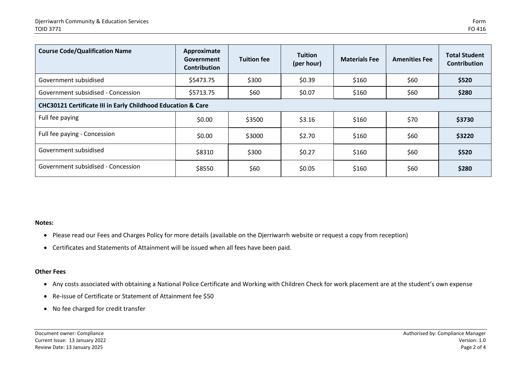| <b>Course Code/Qualification Name</b>                                   | Approximate<br>Government<br><b>Contribution</b> | <b>Tuition fee</b> | <b>Tuition</b><br>(per hour) | <b>Materials Fee</b> | <b>Amenities Fee</b> | <b>Total Student</b><br><b>Contribution</b> |  |  |  |
|-------------------------------------------------------------------------|--------------------------------------------------|--------------------|------------------------------|----------------------|----------------------|---------------------------------------------|--|--|--|
| Government subsidised                                                   | \$5473.75                                        | \$300              | \$0.39                       | \$160                | \$60                 | \$520                                       |  |  |  |
| Government subsidised - Concession                                      | \$5713.75                                        | \$60               | \$0.07                       | \$160                | \$60                 | \$280                                       |  |  |  |
| <b>CHC30121 Certificate III in Early Childhood Education &amp; Care</b> |                                                  |                    |                              |                      |                      |                                             |  |  |  |
| Full fee paying                                                         | \$0.00                                           | \$3500             | \$3.16                       | \$160                | \$70                 | \$3730                                      |  |  |  |
| Full fee paying - Concession                                            | \$0.00                                           | \$3000             | \$2.70                       | \$160                | \$60                 | \$3220                                      |  |  |  |
| Government subsidised                                                   | \$8310                                           | \$300              | \$0.27                       | \$160                | \$60                 | \$520                                       |  |  |  |
| Government subsidised - Concession                                      | \$8550                                           | \$60               | \$0.05                       | \$160                | \$60                 | \$280                                       |  |  |  |

## **Notes:**

- Please read our Fees and Charges Policy for more details (available on the Djerriwarrh website or request a copy from reception)
- Certificates and Statements of Attainment will be issued when all fees have been paid.

## **Other Fees**

- Any costs associated with obtaining a National Police Certificate and Working with Children Check for work placement are at the student's own expense
- Re-issue of Certificate or Statement of Attainment fee \$50
- No fee charged for credit transfer